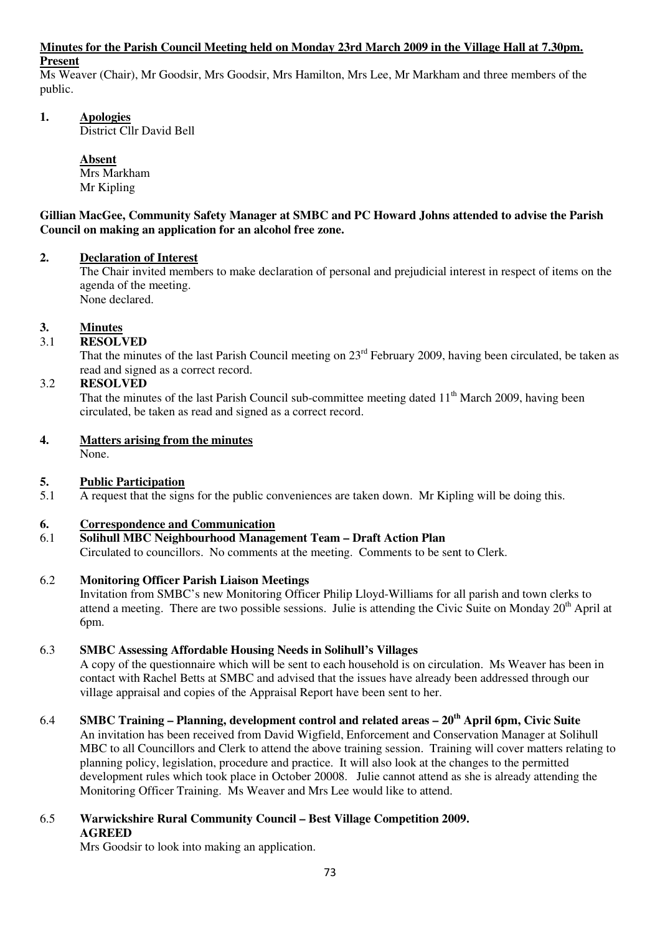#### **Minutes for the Parish Council Meeting held on Monday 23rd March 2009 in the Village Hall at 7.30pm. Present**

Ms Weaver (Chair), Mr Goodsir, Mrs Goodsir, Mrs Hamilton, Mrs Lee, Mr Markham and three members of the public.

# **1. Apologies**

District Cllr David Bell

 **Absent** Mrs Markham Mr Kipling

#### **Gillian MacGee, Community Safety Manager at SMBC and PC Howard Johns attended to advise the Parish Council on making an application for an alcohol free zone.**

# **2. Declaration of Interest**

The Chair invited members to make declaration of personal and prejudicial interest in respect of items on the agenda of the meeting. None declared.

# **3. Minutes**

# 3.1 **RESOLVED**

That the minutes of the last Parish Council meeting on  $23<sup>rd</sup>$  February 2009, having been circulated, be taken as read and signed as a correct record.

# 3.2 **RESOLVED**

That the minutes of the last Parish Council sub-committee meeting dated  $11<sup>th</sup>$  March 2009, having been circulated, be taken as read and signed as a correct record.

# **4. Matters arising from the minutes**

None.

# **5.** Public Participation<br>5.1 A request that the sign

5.1 A request that the signs for the public conveniences are taken down. Mr Kipling will be doing this.

# **6. Correspondence and Communication**

# 6.1 **Solihull MBC Neighbourhood Management Team – Draft Action Plan**

Circulated to councillors. No comments at the meeting. Comments to be sent to Clerk.

# 6.2 **Monitoring Officer Parish Liaison Meetings**

Invitation from SMBC's new Monitoring Officer Philip Lloyd-Williams for all parish and town clerks to attend a meeting. There are two possible sessions. Julie is attending the Civic Suite on Monday 20<sup>th</sup> April at 6pm.

# 6.3 **SMBC Assessing Affordable Housing Needs in Solihull's Villages**

A copy of the questionnaire which will be sent to each household is on circulation. Ms Weaver has been in contact with Rachel Betts at SMBC and advised that the issues have already been addressed through our village appraisal and copies of the Appraisal Report have been sent to her.

# 6.4 **SMBC Training – Planning, development control and related areas – 20th April 6pm, Civic Suite**

An invitation has been received from David Wigfield, Enforcement and Conservation Manager at Solihull MBC to all Councillors and Clerk to attend the above training session. Training will cover matters relating to planning policy, legislation, procedure and practice. It will also look at the changes to the permitted development rules which took place in October 20008. Julie cannot attend as she is already attending the Monitoring Officer Training. Ms Weaver and Mrs Lee would like to attend.

#### 6.5 **Warwickshire Rural Community Council – Best Village Competition 2009. AGREED**

Mrs Goodsir to look into making an application.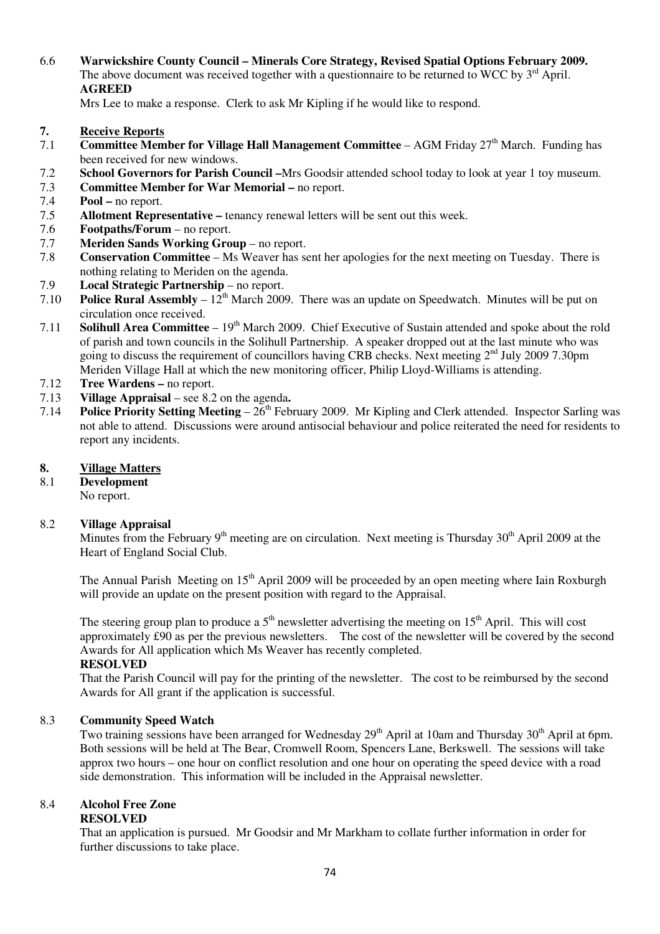6.6 **Warwickshire County Council – Minerals Core Strategy, Revised Spatial Options February 2009.**  The above document was received together with a questionnaire to be returned to WCC by  $3<sup>rd</sup>$  April. **AGREED** 

Mrs Lee to make a response. Clerk to ask Mr Kipling if he would like to respond.

- **7. Receive Reports**<br> **7.1** Committee Mem
- **Committee Member for Village Hall Management Committee AGM Friday 27<sup>th</sup> March. Funding has** been received for new windows.
- 7.2 **School Governors for Parish Council –**Mrs Goodsir attended school today to look at year 1 toy museum.
- 7.3 **Committee Member for War Memorial –** no report.
- 7.4 **Pool** no report.
- 7.5 **Allotment Representative –** tenancy renewal letters will be sent out this week.
- 7.6 **Footpaths/Forum**  no report.
- 7.7 **Meriden Sands Working Group** no report.
- 7.8 **Conservation Committee** Ms Weaver has sent her apologies for the next meeting on Tuesday. There is nothing relating to Meriden on the agenda.
- 7.9 **Local Strategic Partnership**  no report.
- 7.10 **Police Rural Assembly**  $12<sup>th</sup>$  March 2009. There was an update on Speedwatch. Minutes will be put on circulation once received.
- 7.11 **Solihull Area Committee**  19th March 2009. Chief Executive of Sustain attended and spoke about the rold of parish and town councils in the Solihull Partnership. A speaker dropped out at the last minute who was going to discuss the requirement of councillors having CRB checks. Next meeting 2<sup>nd</sup> July 2009 7.30pm Meriden Village Hall at which the new monitoring officer, Philip Lloyd-Williams is attending.
- 7.12 **Tree Wardens** no report.
- 7.13 **Village Appraisal**  see 8.2 on the agenda**.**
- 7.14 **Police Priority Setting Meeting**  $26<sup>th</sup>$  February 2009. Mr Kipling and Clerk attended. Inspector Sarling was not able to attend. Discussions were around antisocial behaviour and police reiterated the need for residents to report any incidents.

#### **8. Village Matters**

8.1 **Development** 

No report.

#### 8.2 **Village Appraisal**

Minutes from the February  $9<sup>th</sup>$  meeting are on circulation. Next meeting is Thursday  $30<sup>th</sup>$  April 2009 at the Heart of England Social Club.

The Annual Parish Meeting on  $15<sup>th</sup>$  April 2009 will be proceeded by an open meeting where Iain Roxburgh will provide an update on the present position with regard to the Appraisal.

The steering group plan to produce a  $5<sup>th</sup>$  newsletter advertising the meeting on  $15<sup>th</sup>$  April. This will cost approximately £90 as per the previous newsletters. The cost of the newsletter will be covered by the second Awards for All application which Ms Weaver has recently completed.

#### **RESOLVED**

That the Parish Council will pay for the printing of the newsletter. The cost to be reimbursed by the second Awards for All grant if the application is successful.

#### 8.3 **Community Speed Watch**

Two training sessions have been arranged for Wednesday  $29<sup>th</sup>$  April at 10am and Thursday  $30<sup>th</sup>$  April at 6pm. Both sessions will be held at The Bear, Cromwell Room, Spencers Lane, Berkswell. The sessions will take approx two hours – one hour on conflict resolution and one hour on operating the speed device with a road side demonstration. This information will be included in the Appraisal newsletter.

#### 8.4 **Alcohol Free Zone RESOLVED**

That an application is pursued. Mr Goodsir and Mr Markham to collate further information in order for further discussions to take place.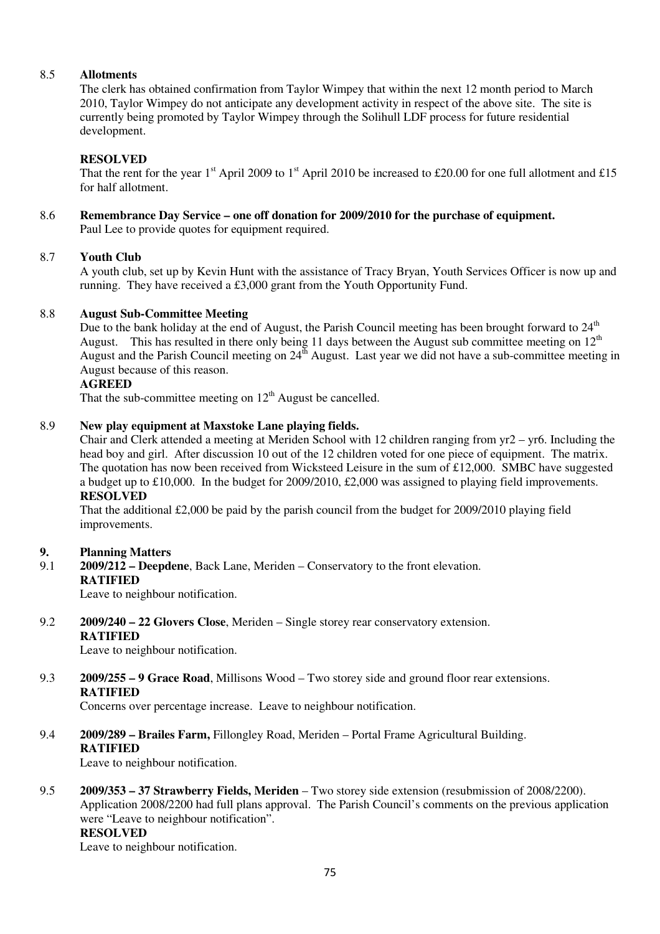#### 8.5 **Allotments**

The clerk has obtained confirmation from Taylor Wimpey that within the next 12 month period to March 2010, Taylor Wimpey do not anticipate any development activity in respect of the above site. The site is currently being promoted by Taylor Wimpey through the Solihull LDF process for future residential development.

### **RESOLVED**

That the rent for the year 1<sup>st</sup> April 2009 to 1<sup>st</sup> April 2010 be increased to £20.00 for one full allotment and £15 for half allotment.

8.6 **Remembrance Day Service – one off donation for 2009/2010 for the purchase of equipment.** Paul Lee to provide quotes for equipment required.

#### 8.7 **Youth Club**

A youth club, set up by Kevin Hunt with the assistance of Tracy Bryan, Youth Services Officer is now up and running. They have received a £3,000 grant from the Youth Opportunity Fund.

#### 8.8 **August Sub-Committee Meeting**

Due to the bank holiday at the end of August, the Parish Council meeting has been brought forward to  $24<sup>th</sup>$ August. This has resulted in there only being 11 days between the August sub committee meeting on  $12<sup>th</sup>$ August and the Parish Council meeting on 24<sup>th</sup> August. Last year we did not have a sub-committee meeting in August because of this reason.

#### **AGREED**

That the sub-committee meeting on  $12<sup>th</sup>$  August be cancelled.

#### 8.9 **New play equipment at Maxstoke Lane playing fields.**

Chair and Clerk attended a meeting at Meriden School with 12 children ranging from yr2 – yr6. Including the head boy and girl. After discussion 10 out of the 12 children voted for one piece of equipment. The matrix. The quotation has now been received from Wicksteed Leisure in the sum of £12,000. SMBC have suggested a budget up to £10,000. In the budget for 2009/2010, £2,000 was assigned to playing field improvements.

#### **RESOLVED**

That the additional £2,000 be paid by the parish council from the budget for 2009/2010 playing field improvements.

# **9. Planning Matters**<br>**9.1 2009/212 – Deepde**

9.1 **2009/212 – Deepdene**, Back Lane, Meriden – Conservatory to the front elevation. **RATIFIED** 

Leave to neighbour notification.

#### 9.2 **2009/240 – 22 Glovers Close**, Meriden – Single storey rear conservatory extension. **RATIFIED**

Leave to neighbour notification.

9.3 **2009/255 – 9 Grace Road**, Millisons Wood – Two storey side and ground floor rear extensions. **RATIFIED** 

Concerns over percentage increase. Leave to neighbour notification.

9.4 **2009/289 – Brailes Farm,** Fillongley Road, Meriden – Portal Frame Agricultural Building. **RATIFIED** 

Leave to neighbour notification.

9.5 **2009/353 – 37 Strawberry Fields, Meriden** – Two storey side extension (resubmission of 2008/2200). Application 2008/2200 had full plans approval. The Parish Council's comments on the previous application were "Leave to neighbour notification". **RESOLVED**

Leave to neighbour notification.